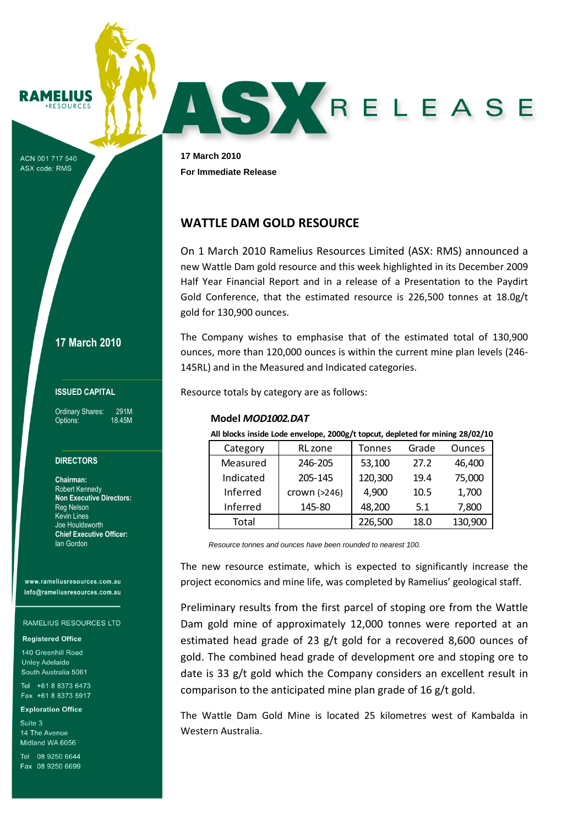MELIUS

ACN 001 717 540 **ASX code: RMS** 

**17 March 2010**

### **ISSUED CAPITAL**

Ordinary Shares: 291M Options: 18.45M

# **DIRECTORS**

**Chairman:** Robert Kennedy **Non Executive Directors:** Reg Nelson Kevin Lines Joe Houldsworth **Chief Executive Officer:** Ian Gordon

www.rameliusresources.com.au info@rameliusresources.com.au

#### RAMELIUS RESOURCES LTD

#### **Registered Office**

140 Greenhill Road **Unley Adelaide** South Australia 5061

Tel +61 8 8373 6473 Fax +61 8 8373 5917

#### **Exploration Office**

Suite 3 14 The Avenue Midland WA 6056

Tel 08 9250 6644 Eax 08 9250 6699

**17 March 2010 For Immediate Release**

# **WATTLE DAM GOLD RESOURCE**

On 1 March 2010 Ramelius Resources Limited (ASX: RMS) announced a new Wattle Dam gold resource and this week highlighted in its December 2009 Half Year Financial Report and in a release of a Presentation to the Paydirt Gold Conference, that the estimated resource is 226,500 tonnes at 18.0g/t gold for 130,900 ounces.

SXRELEASE

The Company wishes to emphasise that of the estimated total of 130,900 ounces, more than 120,000 ounces is within the current mine plan levels (246- 145RL) and in the Measured and Indicated categories.

Resource totals by category are as follows:

## **Model** *MOD1002.DAT*

**All blocks inside Lode envelope, 2000g/t topcut, depleted for mining 28/02/10**

| Category  | RL zone      | <b>Tonnes</b> | Grade | <b>Ounces</b> |
|-----------|--------------|---------------|-------|---------------|
| Measured  | 246-205      | 53,100        | 27.2  | 46,400        |
| Indicated | 205-145      | 120,300       | 19.4  | 75,000        |
| Inferred  | crown (>246) | 4,900         | 10.5  | 1,700         |
| Inferred  | 145-80       | 48,200        | 5.1   | 7,800         |
| Total     |              | 226,500       | 18.0  | 130,900       |

*Resource tonnes and ounces have been rounded to nearest 100.* 

The new resource estimate, which is expected to significantly increase the project economics and mine life, was completed by Ramelius' geological staff.

Preliminary results from the first parcel of stoping ore from the Wattle Dam gold mine of approximately 12,000 tonnes were reported at an estimated head grade of 23 g/t gold for a recovered 8,600 ounces of gold. The combined head grade of development ore and stoping ore to date is 33 g/t gold which the Company considers an excellent result in comparison to the anticipated mine plan grade of 16 g/t gold.

The Wattle Dam Gold Mine is located 25 kilometres west of Kambalda in Western Australia.